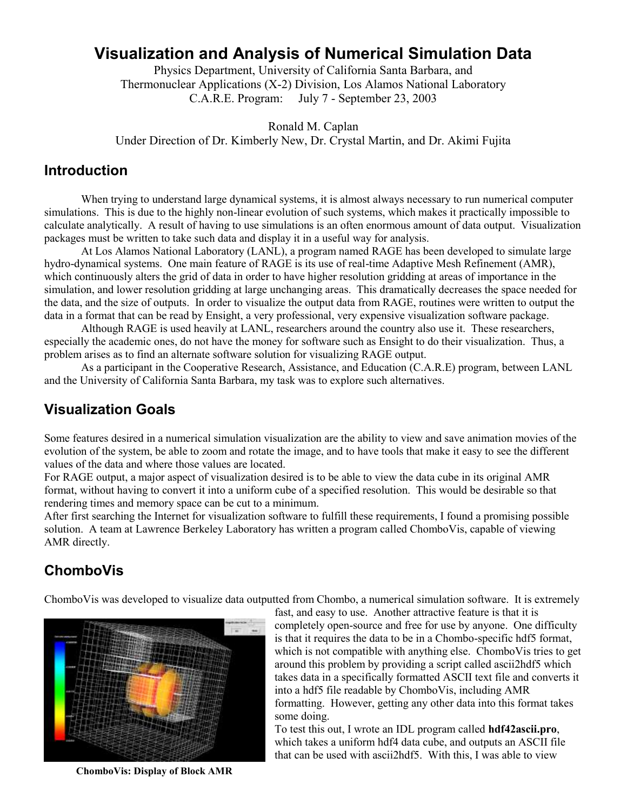# **Visualization and Analysis of Numerical Simulation Data**

Physics Department, University of California Santa Barbara, and Thermonuclear Applications (X-2) Division, Los Alamos National Laboratory C.A.R.E. Program: July 7 - September 23, 2003

Ronald M. Caplan Under Direction of Dr. Kimberly New, Dr. Crystal Martin, and Dr. Akimi Fujita

#### **Introduction**

When trying to understand large dynamical systems, it is almost always necessary to run numerical computer simulations. This is due to the highly non-linear evolution of such systems, which makes it practically impossible to calculate analytically. A result of having to use simulations is an often enormous amount of data output. Visualization packages must be written to take such data and display it in a useful way for analysis.

At Los Alamos National Laboratory (LANL), a program named RAGE has been developed to simulate large hydro-dynamical systems. One main feature of RAGE is its use of real-time Adaptive Mesh Refinement (AMR), which continuously alters the grid of data in order to have higher resolution gridding at areas of importance in the simulation, and lower resolution gridding at large unchanging areas. This dramatically decreases the space needed for the data, and the size of outputs. In order to visualize the output data from RAGE, routines were written to output the data in a format that can be read by Ensight, a very professional, very expensive visualization software package.

Although RAGE is used heavily at LANL, researchers around the country also use it. These researchers, especially the academic ones, do not have the money for software such as Ensight to do their visualization. Thus, a problem arises as to find an alternate software solution for visualizing RAGE output.

As a participant in the Cooperative Research, Assistance, and Education (C.A.R.E) program, between LANL and the University of California Santa Barbara, my task was to explore such alternatives.

### **Visualization Goals**

Some features desired in a numerical simulation visualization are the ability to view and save animation movies of the evolution of the system, be able to zoom and rotate the image, and to have tools that make it easy to see the different values of the data and where those values are located.

For RAGE output, a major aspect of visualization desired is to be able to view the data cube in its original AMR format, without having to convert it into a uniform cube of a specified resolution. This would be desirable so that rendering times and memory space can be cut to a minimum.

After first searching the Internet for visualization software to fulfill these requirements, I found a promising possible solution. A team at Lawrence Berkeley Laboratory has written a program called ChomboVis, capable of viewing AMR directly.

# **ChomboVis**

ChomboVis was developed to visualize data outputted from Chombo, a numerical simulation software. It is extremely



**ChomboVis: Display of Block AMR** 

fast, and easy to use. Another attractive feature is that it is completely open-source and free for use by anyone. One difficulty is that it requires the data to be in a Chombo-specific hdf5 format, which is not compatible with anything else. ChomboVis tries to get around this problem by providing a script called ascii2hdf5 which takes data in a specifically formatted ASCII text file and converts it into a hdf5 file readable by ChomboVis, including AMR formatting. However, getting any other data into this format takes some doing.

To test this out, I wrote an IDL program called **hdf42ascii.pro**, which takes a uniform hdf4 data cube, and outputs an ASCII file that can be used with ascii2hdf5. With this, I was able to view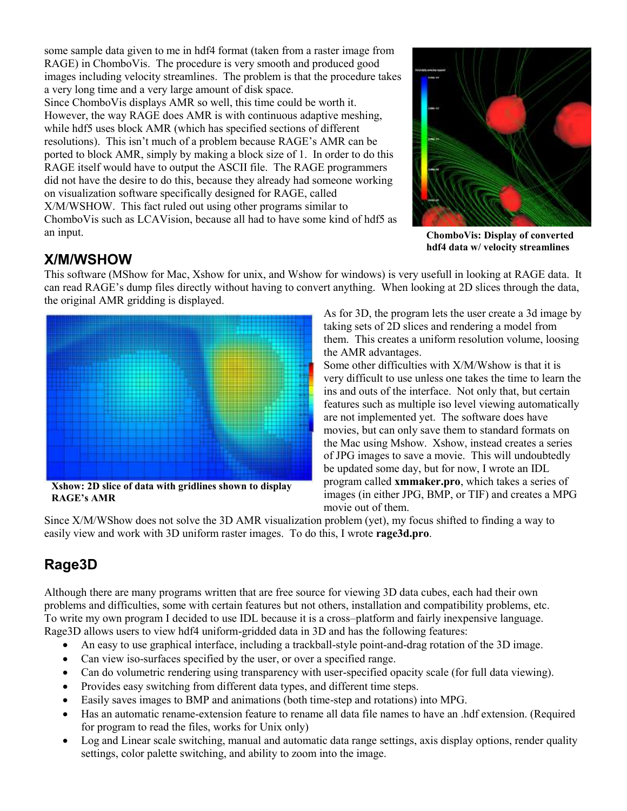some sample data given to me in hdf4 format (taken from a raster image from RAGE) in ChomboVis. The procedure is very smooth and produced good images including velocity streamlines. The problem is that the procedure takes a very long time and a very large amount of disk space. Since ChomboVis displays AMR so well, this time could be worth it. However, the way RAGE does AMR is with continuous adaptive meshing, while hdf5 uses block AMR (which has specified sections of different resolutions). This isn't much of a problem because RAGE's AMR can be ported to block AMR, simply by making a block size of 1. In order to do this RAGE itself would have to output the ASCII file. The RAGE programmers did not have the desire to do this, because they already had someone working on visualization software specifically designed for RAGE, called X/M/WSHOW. This fact ruled out using other programs similar to ChomboVis such as LCAVision, because all had to have some kind of hdf5 as an input.



**ChomboVis: Display of converted hdf4 data w/ velocity streamlines**

### **X/M/WSHOW**

This software (MShow for Mac, Xshow for unix, and Wshow for windows) is very usefull in looking at RAGE data. It can read RAGE's dump files directly without having to convert anything. When looking at 2D slices through the data, the original AMR gridding is displayed.



**RAGE's AMR**

As for 3D, the program lets the user create a 3d image by taking sets of 2D slices and rendering a model from them. This creates a uniform resolution volume, loosing the AMR advantages.

Some other difficulties with X/M/Wshow is that it is very difficult to use unless one takes the time to learn the ins and outs of the interface. Not only that, but certain features such as multiple iso level viewing automatically are not implemented yet. The software does have movies, but can only save them to standard formats on the Mac using Mshow. Xshow, instead creates a series of JPG images to save a movie. This will undoubtedly be updated some day, but for now, I wrote an IDL program called **xmmaker.pro**, which takes a series of images (in either JPG, BMP, or TIF) and creates a MPG movie out of them.

Since X/M/WShow does not solve the 3D AMR visualization problem (yet), my focus shifted to finding a way to easily view and work with 3D uniform raster images. To do this, I wrote **rage3d.pro**.

# **Rage3D**

Although there are many programs written that are free source for viewing 3D data cubes, each had their own problems and difficulties, some with certain features but not others, installation and compatibility problems, etc. To write my own program I decided to use IDL because it is a cross–platform and fairly inexpensive language. Rage3D allows users to view hdf4 uniform-gridded data in 3D and has the following features:

- An easy to use graphical interface, including a trackball-style point-and-drag rotation of the 3D image.
- Can view iso-surfaces specified by the user, or over a specified range.
- Can do volumetric rendering using transparency with user-specified opacity scale (for full data viewing).
- Provides easy switching from different data types, and different time steps.
- Easily saves images to BMP and animations (both time-step and rotations) into MPG.
- Has an automatic rename-extension feature to rename all data file names to have an .hdf extension. (Required for program to read the files, works for Unix only)
- Log and Linear scale switching, manual and automatic data range settings, axis display options, render quality settings, color palette switching, and ability to zoom into the image.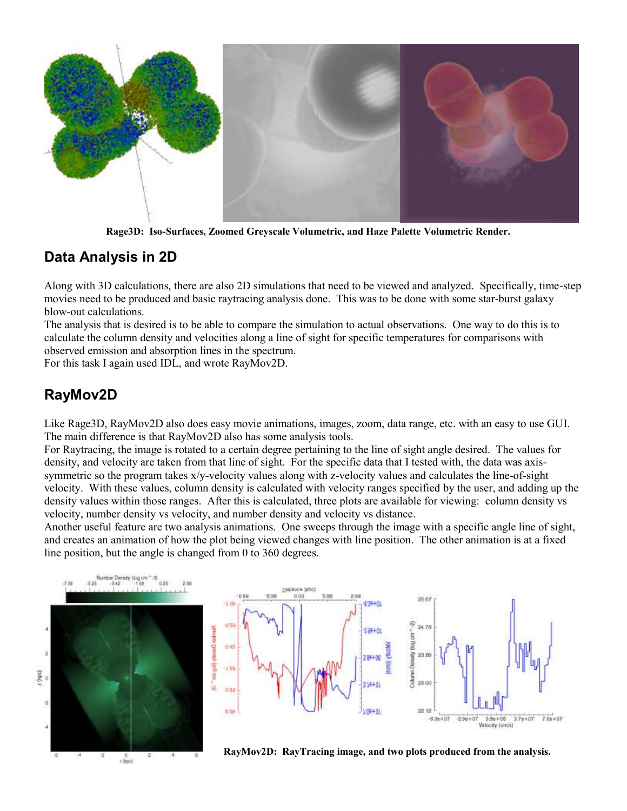

**Rage3D: Iso-Surfaces, Zoomed Greyscale Volumetric, and Haze Palette Volumetric Render.**

#### **Data Analysis in 2D**

Along with 3D calculations, there are also 2D simulations that need to be viewed and analyzed. Specifically, time-step movies need to be produced and basic raytracing analysis done. This was to be done with some star-burst galaxy blow-out calculations.

The analysis that is desired is to be able to compare the simulation to actual observations. One way to do this is to calculate the column density and velocities along a line of sight for specific temperatures for comparisons with observed emission and absorption lines in the spectrum.

For this task I again used IDL, and wrote RayMov2D.

#### **RayMov2D**

Like Rage3D, RayMov2D also does easy movie animations, images, zoom, data range, etc. with an easy to use GUI. The main difference is that RayMov2D also has some analysis tools.

For Raytracing, the image is rotated to a certain degree pertaining to the line of sight angle desired. The values for density, and velocity are taken from that line of sight. For the specific data that I tested with, the data was axissymmetric so the program takes x/y-velocity values along with z-velocity values and calculates the line-of-sight velocity. With these values, column density is calculated with velocity ranges specified by the user, and adding up the density values within those ranges. After this is calculated, three plots are available for viewing: column density vs velocity, number density vs velocity, and number density and velocity vs distance.

Another useful feature are two analysis animations. One sweeps through the image with a specific angle line of sight, and creates an animation of how the plot being viewed changes with line position. The other animation is at a fixed line position, but the angle is changed from 0 to 360 degrees.





**RayMov2D: RayTracing image, and two plots produced from the analysis.**